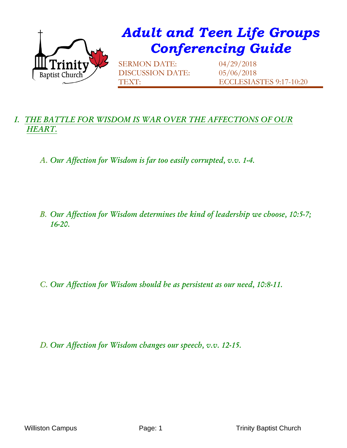

## *Adult and Teen Life Groups Conferencing Guide*

SERMON DATE: 04/29/2018 DISCUSSION DATE: 05/06/2018

TEXT: ECCLESIASTES 9:17-10:20

## *I. THE BATTLE FOR WISDOM IS WAR OVER THE AFFECTIONS OF OUR HEART.*

- *A. Our Affection for Wisdom is far too easily corrupted, v.v. 1-4.*
- *B. Our Affection for Wisdom determines the kind of leadership we choose, 10:5-7; 16-20.*

*C. Our Affection for Wisdom should be as persistent as our need, 10:8-11.*

*D. Our Affection for Wisdom changes our speech, v.v. 12-15.*